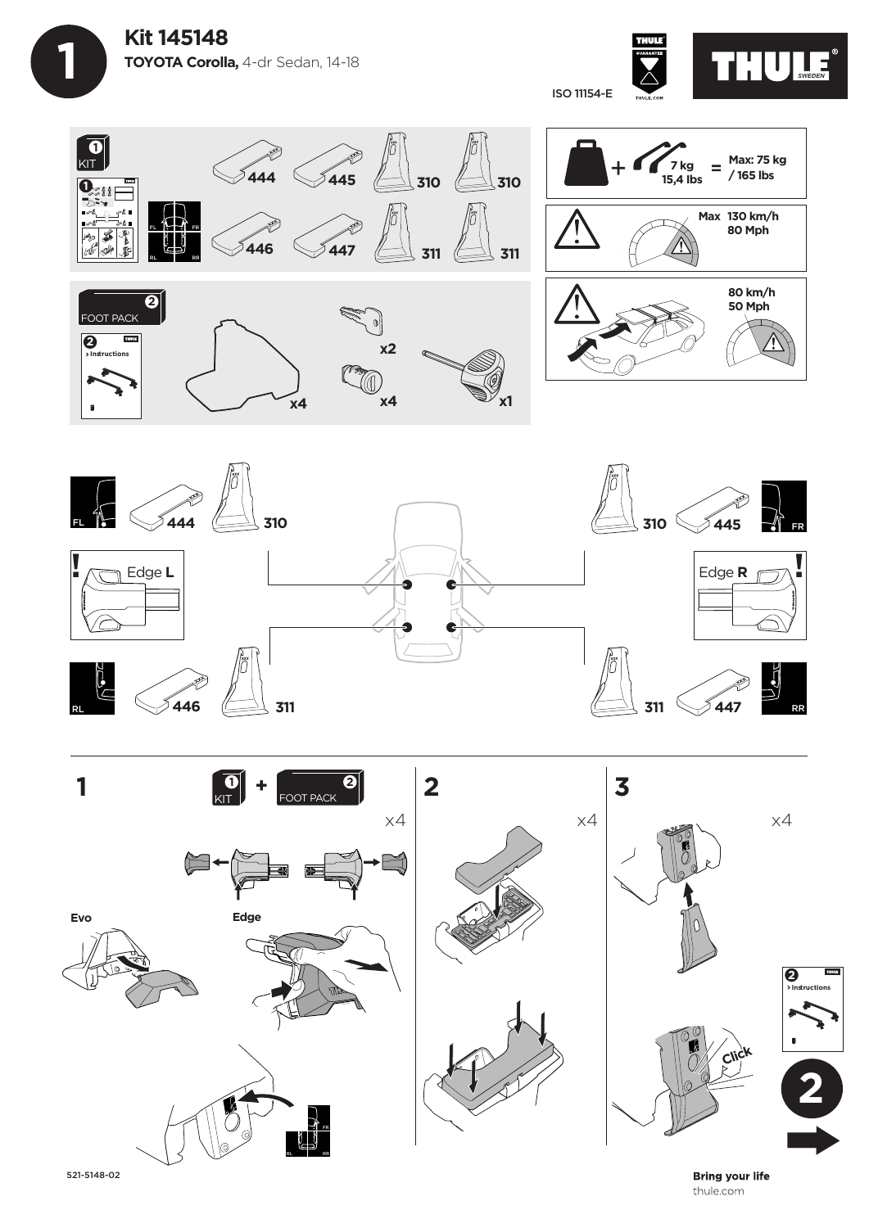









521-5148-02

**Bring your life** thule.com